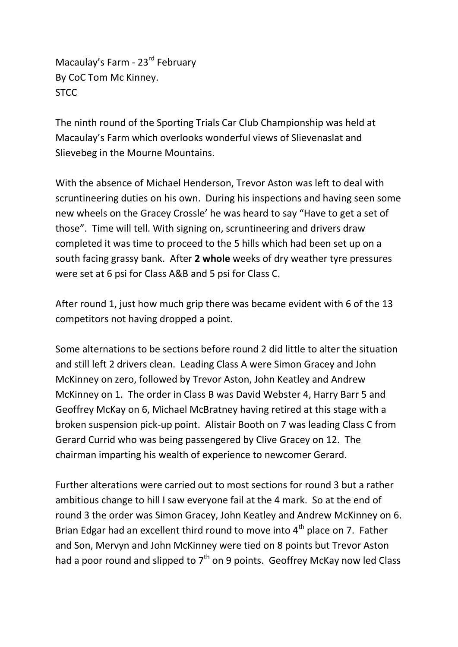Macaulay's Farm - 23<sup>rd</sup> February By CoC Tom Mc Kinney. **STCC** 

The ninth round of the Sporting Trials Car Club Championship was held at Macaulay's Farm which overlooks wonderful views of Slievenaslat and Slievebeg in the Mourne Mountains.

With the absence of Michael Henderson, Trevor Aston was left to deal with scruntineering duties on his own. During his inspections and having seen some new wheels on the Gracey Crossle' he was heard to say "Have to get a set of those". Time will tell. With signing on, scruntineering and drivers draw completed it was time to proceed to the 5 hills which had been set up on a south facing grassy bank. After **2 whole** weeks of dry weather tyre pressures were set at 6 psi for Class A&B and 5 psi for Class C.

After round 1, just how much grip there was became evident with 6 of the 13 competitors not having dropped a point.

Some alternations to be sections before round 2 did little to alter the situation and still left 2 drivers clean. Leading Class A were Simon Gracey and John McKinney on zero, followed by Trevor Aston, John Keatley and Andrew McKinney on 1. The order in Class B was David Webster 4, Harry Barr 5 and Geoffrey McKay on 6, Michael McBratney having retired at this stage with a broken suspension pick-up point. Alistair Booth on 7 was leading Class C from Gerard Currid who was being passengered by Clive Gracey on 12. The chairman imparting his wealth of experience to newcomer Gerard.

Further alterations were carried out to most sections for round 3 but a rather ambitious change to hill I saw everyone fail at the 4 mark. So at the end of round 3 the order was Simon Gracey, John Keatley and Andrew McKinney on 6. Brian Edgar had an excellent third round to move into  $4<sup>th</sup>$  place on 7. Father and Son, Mervyn and John McKinney were tied on 8 points but Trevor Aston had a poor round and slipped to  $7<sup>th</sup>$  on 9 points. Geoffrey McKay now led Class